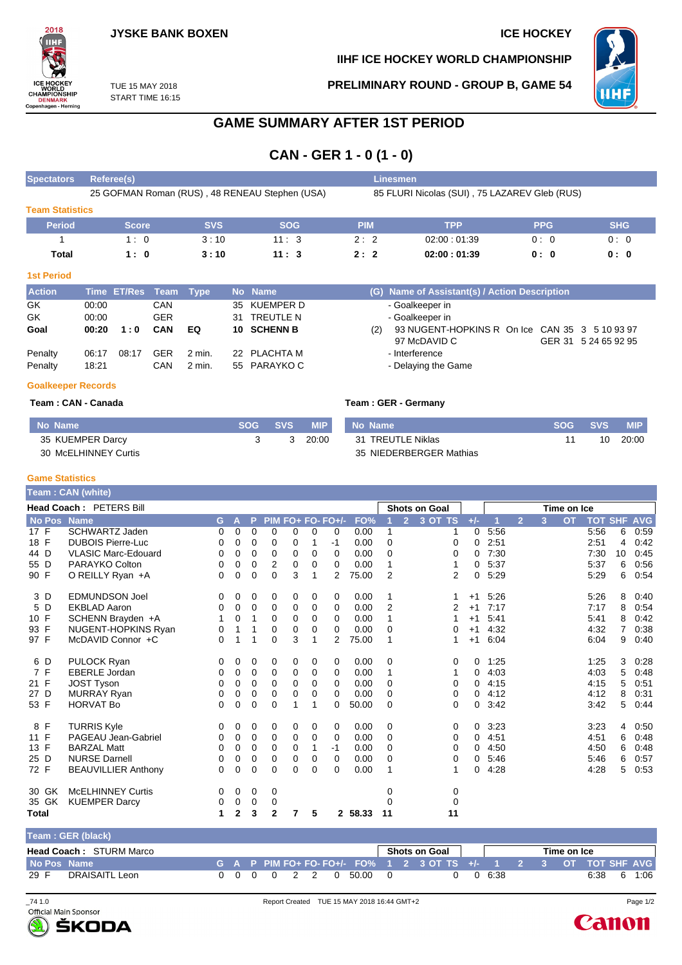

**IIHF ICE HOCKEY WORLD CHAMPIONSHIP**

**PRELIMINARY ROUND - GROUP B, GAME 54**



TUE 15 MAY 2018 START TIME 16:15

## **GAME SUMMARY AFTER 1ST PERIOD**

**CAN - GER 1 - 0 (1 - 0)**

| <b>Spectators</b>      | Referee(s)                                     |            |                                               | Linesmen   |             |            |            |  |  |  |  |  |
|------------------------|------------------------------------------------|------------|-----------------------------------------------|------------|-------------|------------|------------|--|--|--|--|--|
|                        | 25 GOFMAN Roman (RUS), 48 RENEAU Stephen (USA) |            | 85 FLURI Nicolas (SUI), 75 LAZAREV Gleb (RUS) |            |             |            |            |  |  |  |  |  |
| <b>Team Statistics</b> |                                                |            |                                               |            |             |            |            |  |  |  |  |  |
| <b>Period</b>          | Score                                          | <b>SVS</b> | <b>SOG</b>                                    | <b>PIM</b> | TPP         | <b>PPG</b> | <b>SHG</b> |  |  |  |  |  |
|                        | 1:0                                            | 3:10       | 11:3                                          | 2:2        | 02:00:01:39 | 0:0        | 0:0        |  |  |  |  |  |
| Total                  | 1:0                                            | 3:10       | 11:3                                          | 2:2        | 02:00:01:39 | 0: 0       | 0: 0       |  |  |  |  |  |

#### **1st Period**

| <b>Action</b>      |                | Time ET/Res Team Type |                   |                    |     | No Name                     |     | (G) Name of Assistant(s) / Action Description                  |                      |
|--------------------|----------------|-----------------------|-------------------|--------------------|-----|-----------------------------|-----|----------------------------------------------------------------|----------------------|
| GK                 | 00:00          |                       | CAN               |                    |     | 35 KUEMPER D                |     | - Goalkeeper in                                                |                      |
| GK                 | 00:00          |                       | <b>GER</b>        |                    | 31. | TREUTLE N                   |     | - Goalkeeper in                                                |                      |
| Goal               | 00:20          | 1:0                   | <b>CAN</b>        | EQ                 |     | 10 SCHENN B                 | (2) | 93 NUGENT-HOPKINS R On Ice CAN 35 3 5 10 93 97<br>97 McDAVID C | GER 31 5 24 65 92 95 |
| Penalty<br>Penalty | 06:17<br>18:21 | 08:17                 | <b>GER</b><br>CAN | 2 min.<br>$2$ min. |     | 22 PLACHTA M<br>55 PARAYKOC |     | - Interference<br>- Delaying the Game                          |                      |

#### **Goalkeeper Records**

### **Team : CAN - Canada**

|  |  |  |  | <b>Team : GER - Germany</b> |  |
|--|--|--|--|-----------------------------|--|
|--|--|--|--|-----------------------------|--|

| No Name              | SOG | <b>SVS</b> | <b>MIP</b> | No Name                 | <b>SOG</b> | <b>SVS</b> | MIP.  |
|----------------------|-----|------------|------------|-------------------------|------------|------------|-------|
| 35 KUEMPER Darcy     |     |            | 20:00      | 31 TREUTLE Niklas       |            | 10         | 20:00 |
| 30 McELHINNEY Curtis |     |            |            | 35 NIEDERBERGER Mathias |            |            |       |

#### **Game Statistics**

|              | Team : CAN (white) |                            |    |          |          |                   |          |             |                |         |                |                |                      |       |      |                |   |             |                |    |            |
|--------------|--------------------|----------------------------|----|----------|----------|-------------------|----------|-------------|----------------|---------|----------------|----------------|----------------------|-------|------|----------------|---|-------------|----------------|----|------------|
|              |                    | Head Coach: PETERS Bill    |    |          |          |                   |          |             |                |         |                |                | <b>Shots on Goal</b> |       |      |                |   | Time on Ice |                |    |            |
|              | <b>No Pos</b>      | <b>Name</b>                | G. | A        | P        | PIM FO+ FO- FO+/- |          |             |                | FO%     |                | $\overline{2}$ | 3 OT TS              | $+/-$ |      | $\overline{2}$ | 3 | <b>OT</b>   | <b>TOT SHF</b> |    | <b>AVG</b> |
| 17 F         |                    | <b>SCHWARTZ Jaden</b>      | 0  | 0        | 0        | 0                 | 0        | 0           | 0              | 0.00    | 1              |                |                      | 0     | 5:56 |                |   |             | 5:56           | 6  | 0:59       |
| 18 F         |                    | <b>DUBOIS Pierre-Luc</b>   | 0  | 0        | 0        | 0                 | 0        | 1           | -1             | 0.00    | 0              |                | 0                    | 0     | 2:51 |                |   |             | 2:51           | 4  | 0:42       |
| 44 D         |                    | <b>VLASIC Marc-Edouard</b> | 0  | 0        | 0        | 0                 | 0        | 0           | 0              | 0.00    | 0              |                | 0                    | 0     | 7:30 |                |   |             | 7:30           | 10 | 0:45       |
| 55 D         |                    | PARAYKO Colton             | 0  | 0        | 0        | 2                 | 0        | 0           | 0              | 0.00    | 1              |                |                      | 0     | 5:37 |                |   |             | 5:37           | 6  | 0:56       |
| 90 F         |                    | O REILLY Ryan +A           | 0  | 0        | 0        | $\Omega$          | 3        | 1           | $\overline{2}$ | 75.00   | $\overline{2}$ |                | 2                    | 0     | 5:29 |                |   |             | 5:29           | 6  | 0:54       |
|              | 3 D                | <b>EDMUNDSON Joel</b>      | 0  | 0        | 0        | 0                 | 0        | 0           | 0              | 0.00    | 1              |                |                      | $+1$  | 5:26 |                |   |             | 5:26           | 8  | 0:40       |
|              | 5 D                | <b>EKBLAD Aaron</b>        | 0  | 0        | $\Omega$ | 0                 | 0        | 0           | 0              | 0.00    | $\overline{2}$ |                | 2                    | $+1$  | 7:17 |                |   |             | 7:17           | 8  | 0:54       |
| 10 F         |                    | SCHENN Brayden +A          | 1  | 0        | 1        | 0                 | 0        | 0           | 0              | 0.00    | 1              |                |                      | $+1$  | 5:41 |                |   |             | 5:41           | 8  | 0:42       |
| 93 F         |                    | NUGENT-HOPKINS Ryan        | 0  |          |          | 0                 | 0        | 0           | $\Omega$       | 0.00    | 0              |                | 0                    | $+1$  | 4:32 |                |   |             | 4:32           |    | 0:38       |
| 97 F         |                    | McDAVID Connor +C          | 0  |          | 1        | $\Omega$          | 3        | 1           | 2              | 75.00   | 1              |                |                      | $+1$  | 6:04 |                |   |             | 6:04           | 9  | 0:40       |
|              | 6 D                | <b>PULOCK Ryan</b>         | 0  | 0        | 0        | 0                 | 0        | 0           | $\mathbf 0$    | 0.00    | 0              |                | 0                    | 0     | 1:25 |                |   |             | 1:25           | 3  | 0:28       |
| 7 F          |                    | <b>EBERLE Jordan</b>       | 0  | 0        | 0        | 0                 | 0        | 0           | $\Omega$       | 0.00    | 1              |                |                      | 0     | 4:03 |                |   |             | 4:03           | 5  | 0:48       |
| 21 F         |                    | <b>JOST Tyson</b>          | 0  | 0        | 0        | $\Omega$          | $\Omega$ | 0           | $\Omega$       | 0.00    | 0              |                | 0                    | 0     | 4:15 |                |   |             | 4:15           | 5  | 0:51       |
| 27 D         |                    | <b>MURRAY Ryan</b>         | 0  | 0        | 0        | $\mathbf 0$       | 0        | $\mathbf 0$ | 0              | 0.00    | $\Omega$       |                | 0                    | 0     | 4:12 |                |   |             | 4:12           | 8  | 0:31       |
| 53 F         |                    | <b>HORVAT Bo</b>           | 0  | $\Omega$ | 0        | $\Omega$          | 1        | 1           | $\Omega$       | 50.00   | 0              |                | 0                    | 0     | 3:42 |                |   |             | 3:42           | 5  | 0:44       |
| 8 F          |                    | <b>TURRIS Kyle</b>         | 0  | 0        | 0        | 0                 | 0        | 0           | $\Omega$       | 0.00    | 0              |                | 0                    | 0     | 3:23 |                |   |             | 3:23           | 4  | 0:50       |
| 11 F         |                    | PAGEAU Jean-Gabriel        | 0  | 0        | 0        | 0                 | 0        | 0           | 0              | 0.00    | 0              |                | 0                    | 0     | 4:51 |                |   |             | 4:51           | 6  | 0:48       |
| 13 F         |                    | <b>BARZAL Matt</b>         | 0  | 0        | 0        | 0                 | 0        | 1           | -1             | 0.00    | 0              |                | 0                    | 0     | 4:50 |                |   |             | 4:50           | 6  | 0:48       |
| 25 D         |                    | <b>NURSE Darnell</b>       | 0  | 0        | 0        | 0                 | 0        | 0           | 0              | 0.00    | 0              |                | 0                    | 0     | 5:46 |                |   |             | 5.46           | 6  | 0:57       |
| 72 F         |                    | <b>BEAUVILLIER Anthony</b> | 0  | 0        | 0        | $\Omega$          | 0        | $\Omega$    | $\Omega$       | 0.00    | 1              |                |                      | 0     | 4:28 |                |   |             | 4:28           | 5  | 0:53       |
|              | 30 GK              | <b>McELHINNEY Curtis</b>   | 0  | 0        | 0        | 0                 |          |             |                |         | 0              |                | 0                    |       |      |                |   |             |                |    |            |
|              | 35 GK              | <b>KUEMPER Darcy</b>       | 0  | 0        | 0        | 0                 |          |             |                |         | 0              |                | 0                    |       |      |                |   |             |                |    |            |
| <b>Total</b> |                    |                            | 1  | 2        | 3        | $\mathbf{2}$      | 7        | 5           |                | 2 58.33 | 11             |                | 11                   |       |      |                |   |             |                |    |            |

| Team: GER (black)              |  |  |  |                       |  |                                                                 |                  |  |             |      |   |      |
|--------------------------------|--|--|--|-----------------------|--|-----------------------------------------------------------------|------------------|--|-------------|------|---|------|
| <b>Head Coach: STURM Marco</b> |  |  |  |                       |  | Shots on Goal I                                                 |                  |  | Time on Ice |      |   |      |
| No Pos Name                    |  |  |  |                       |  | G A P PIM FO+ FO-FO+/- FO% 1 2 3 OT TS +/- 1 2 3 OT TOT SHF AVG |                  |  |             |      |   |      |
| DRAISAITL Leon<br>29 F         |  |  |  | 0 0 0 0 2 2 0 50.00 0 |  |                                                                 | $0 \t 0 \t 6:38$ |  |             | 6:38 | 6 | 1:06 |